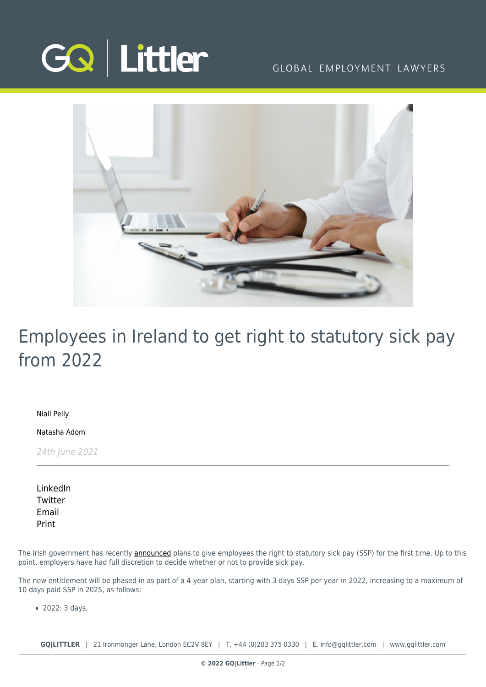

# GLOBAL EMPLOYMENT LAWYERS



# Employees in Ireland to get right to statutory sick pay from 2022

[Niall Pelly](https://www.gqlittler.com/about-us/the-team/niall-pelly)

[Natasha Adom](https://www.gqlittler.com/about-us/the-team/natasha-adom)

24th June 2021

[LinkedIn](https://www.linkedin.com/shareArticle?mini=true&url=https%3A%2F%2Fwww.gqlittler.com%2Fresources%2Fnews-and-views%2Femployees-in-ireland-to-get-right-to-statutory-sick-pay-from-2022.htm%3Funlock%3Dtrue&title=Employees+in+Ireland+to+get+right+to+statutory+sick+pay+from+2022&summary=The+Irish+government+has+recently+announced+plans+to+give+employees+the+right+to+statutory+sick+pay+%28SSP%29+for+the+first+time.&source=GQ+%7C+Littler) **[Twitter](https://twitter.com/share?text=Employees+in+Ireland+to+get+right+to+statutory+sick+pay+from+2022&url=https%3A%2F%2Fwww.gqlittler.com%2Fresources%2Fnews-and-views%2Femployees-in-ireland-to-get-right-to-statutory-sick-pay-from-2022.htm&hashtags=)** [Email](mailto:?subject=Employees in Ireland to get right to statutory sick pay from 2022&body=I) [Print](https://www.bg-pdf.co.uk/_GQ/page.php?M=6148523063484d364c793933643363755a33467361585230624756794c6d4e76625339795a584e7664584a6a5a584d76626d563363793168626d5174646d6c6c64334d765a573177624739355a57567a4c576c754c576c795a577868626d5174644738745a3256304c584a705a3268304c5852764c584e3059585231644739796553317a61574e724c5842686553316d636d39744c5449774d6a4975614852744930416a52573177624739355a57567a49476c7549456c795a577868626d5167644738675a32563049484a705a3268304948527649484e3059585231644739796553427a61574e72494842686553426d636d3974494449774d6a496a51434e6c6258427362336c6c5a584d746157347461584a6c624746755a4331306279316e5a585174636d6c6e6148517464473874633352686448563062334a354c584e7059327374634746354c575a79623230744d6a41794d673d3d)

The Irish government has recently **announced** plans to give employees the right to statutory sick pay (SSP) for the first time. Up to this point, employers have had full discretion to decide whether or not to provide sick pay.

The new entitlement will be phased in as part of a 4-year plan, starting with 3 days SSP per year in 2022, increasing to a maximum of 10 days paid SSP in 2025, as follows:

2022: 3 days,

**GQ|LITTLER** | 21 Ironmonger Lane, London EC2V 8EY | T. [+44 \(0\)203 375 0330](https://www.bg-pdf.co.uk/_GQ/tel:+442033750330) | E. [info@gqlittler.com](mailto:info@gqlittler.com) | [www.gqlittler.com](https://www.gqlittler.com)